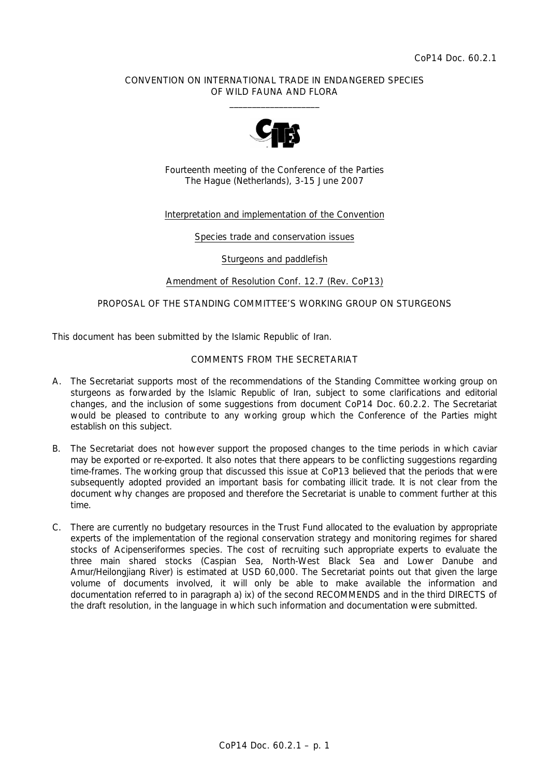### CONVENTION ON INTERNATIONAL TRADE IN ENDANGERED SPECIES OF WILD FAUNA AND FLORA  $\frac{1}{2}$  , and the set of the set of the set of the set of the set of the set of the set of the set of the set of the set of the set of the set of the set of the set of the set of the set of the set of the set of the set



Fourteenth meeting of the Conference of the Parties The Hague (Netherlands), 3-15 June 2007

## Interpretation and implementation of the Convention

Species trade and conservation issues

Sturgeons and paddlefish

Amendment of Resolution Conf. 12.7 (Rev. CoP13)

## PROPOSAL OF THE STANDING COMMITTEE'S WORKING GROUP ON STURGEONS

This document has been submitted by the Islamic Republic of Iran.

# COMMENTS FROM THE SECRETARIAT

- A. The Secretariat supports most of the recommendations of the Standing Committee working group on sturgeons as forwarded by the Islamic Republic of Iran, subject to some clarifications and editorial changes, and the inclusion of some suggestions from document CoP14 Doc. 60.2.2. The Secretariat would be pleased to contribute to any working group which the Conference of the Parties might establish on this subject.
- B. The Secretariat does not however support the proposed changes to the time periods in which caviar may be exported or re-exported. It also notes that there appears to be conflicting suggestions regarding time-frames. The working group that discussed this issue at CoP13 believed that the periods that were subsequently adopted provided an important basis for combating illicit trade. It is not clear from the document why changes are proposed and therefore the Secretariat is unable to comment further at this time.
- C. There are currently no budgetary resources in the Trust Fund allocated to the evaluation by appropriate experts of the implementation of the regional conservation strategy and monitoring regimes for shared stocks of Acipenseriformes species. The cost of recruiting such appropriate experts to evaluate the three main shared stocks (Caspian Sea, North-West Black Sea and Lower Danube and Amur/Heilongjiang River) is estimated at USD 60,000. The Secretariat points out that given the large volume of documents involved, it will only be able to make available the information and documentation referred to in paragraph a) ix) of the second RECOMMENDS and in the third DIRECTS of the draft resolution, in the language in which such information and documentation were submitted.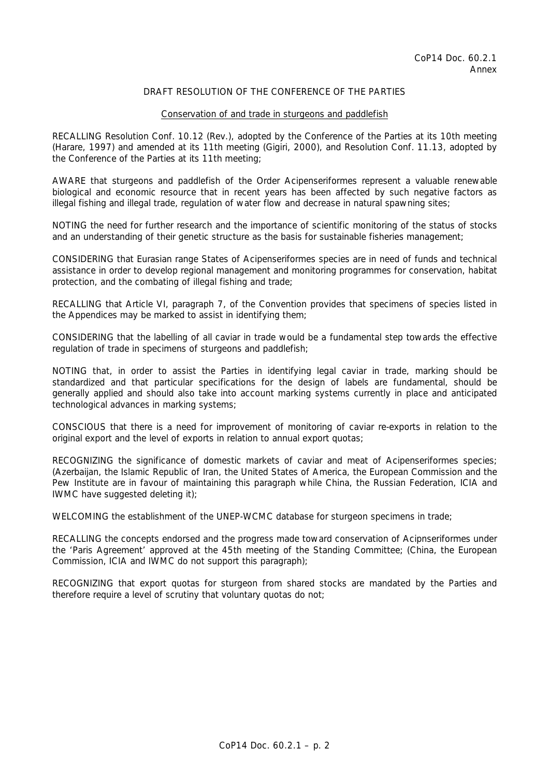# DRAFT RESOLUTION OF THE CONFERENCE OF THE PARTIES

#### Conservation of and trade in sturgeons and paddlefish

RECALLING Resolution Conf. 10.12 (Rev.), adopted by the Conference of the Parties at its 10th meeting (Harare, 1997) and amended at its 11th meeting (Gigiri, 2000), and Resolution Conf. 11.13, adopted by the Conference of the Parties at its 11th meeting;

AWARE that sturgeons and paddlefish of the Order Acipenseriformes represent a valuable renewable biological and economic resource that in recent years has been affected by such negative factors as illegal fishing and illegal trade, regulation of water flow and decrease in natural spawning sites;

NOTING the need for further research and the importance of scientific monitoring of the status of stocks and an understanding of their genetic structure as the basis for sustainable fisheries management;

CONSIDERING that Eurasian range States of Acipenseriformes species are in need of funds and technical assistance in order to develop regional management and monitoring programmes for conservation, habitat protection, and the combating of illegal fishing and trade;

RECALLING that Article VI, paragraph 7, of the Convention provides that specimens of species listed in the Appendices may be marked to assist in identifying them;

CONSIDERING that the labelling of all caviar in trade would be a fundamental step towards the effective regulation of trade in specimens of sturgeons and paddlefish;

NOTING that, in order to assist the Parties in identifying legal caviar in trade, marking should be standardized and that particular specifications for the design of labels are fundamental, should be generally applied and should also take into account marking systems currently in place and anticipated technological advances in marking systems;

CONSCIOUS that there is a need for improvement of monitoring of caviar re-exports in relation to the original export and the level of exports in relation to annual export quotas;

RECOGNIZING the significance of domestic markets of caviar and meat of Acipenseriformes species; (Azerbaijan, the Islamic Republic of Iran, the United States of America, the European Commission and the Pew Institute are in favour of maintaining this paragraph while China, the Russian Federation, ICIA and IWMC have suggested deleting it);

WELCOMING the establishment of the UNEP-WCMC database for sturgeon specimens in trade;

RECALLING the concepts endorsed and the progress made toward conservation of Acipnseriformes under the 'Paris Agreement' approved at the 45th meeting of the Standing Committee; (China, the European Commission, ICIA and IWMC do not support this paragraph);

RECOGNIZING that export quotas for sturgeon from shared stocks are mandated by the Parties and therefore require a level of scrutiny that voluntary quotas do not;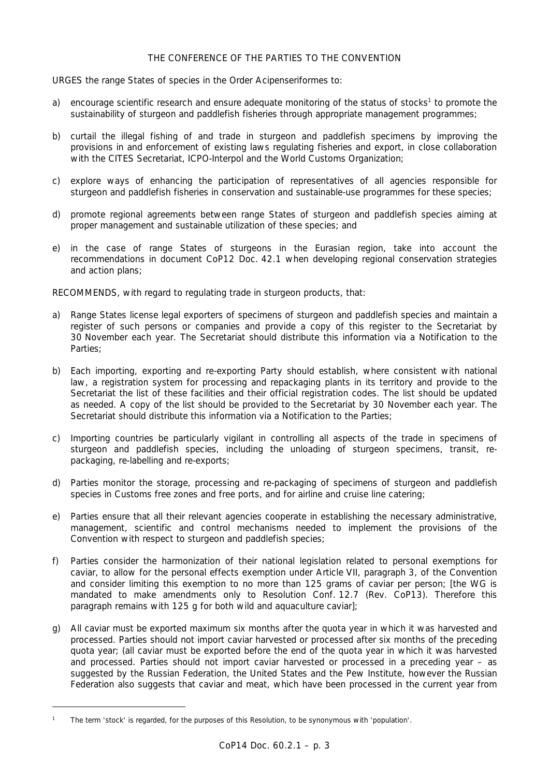## THE CONFERENCE OF THE PARTIES TO THE CONVENTION

URGES the range States of species in the Order Acipenseriformes to:

- a) encourage scientific research and ensure adequate monitoring of the status of stocks<sup>1</sup> to promote the sustainability of sturgeon and paddlefish fisheries through appropriate management programmes;
- b) curtail the illegal fishing of and trade in sturgeon and paddlefish specimens by improving the provisions in and enforcement of existing laws regulating fisheries and export, in close collaboration with the CITES Secretariat, ICPO-Interpol and the World Customs Organization;
- c) explore ways of enhancing the participation of representatives of all agencies responsible for sturgeon and paddlefish fisheries in conservation and sustainable-use programmes for these species;
- d) promote regional agreements between range States of sturgeon and paddlefish species aiming at proper management and sustainable utilization of these species; and
- e) in the case of range States of sturgeons in the Eurasian region, take into account the recommendations in document CoP12 Doc. 42.1 when developing regional conservation strategies and action plans;

RECOMMENDS, with regard to regulating trade in sturgeon products, that:

- a) Range States license legal exporters of specimens of sturgeon and paddlefish species and maintain a register of such persons or companies and provide a copy of this register to the Secretariat by 30 November each year. The Secretariat should distribute this information via a Notification to the Parties;
- b) Each importing, exporting and re-exporting Party should establish, where consistent with national law, a registration system for processing and repackaging plants in its territory and provide to the Secretariat the list of these facilities and their official registration codes. The list should be updated as needed. A copy of the list should be provided to the Secretariat by 30 November each year. The Secretariat should distribute this information via a Notification to the Parties;
- c) Importing countries be particularly vigilant in controlling all aspects of the trade in specimens of sturgeon and paddlefish species, including the unloading of sturgeon specimens, transit, repackaging, re-labelling and re-exports;
- d) Parties monitor the storage, processing and re-packaging of specimens of sturgeon and paddlefish species in Customs free zones and free ports, and for airline and cruise line catering;
- e) Parties ensure that all their relevant agencies cooperate in establishing the necessary administrative, management, scientific and control mechanisms needed to implement the provisions of the Convention with respect to sturgeon and paddlefish species;
- f) Parties consider the harmonization of their national legislation related to personal exemptions for caviar, to allow for the personal effects exemption under Article VII, paragraph 3, of the Convention and consider limiting this exemption to no more than 125 grams of caviar per person; [the WG is mandated to make amendments only to Resolution Conf. 12.7 (Rev. CoP13). Therefore this paragraph remains with 125 g for both wild and aquaculture caviar];
- g) All caviar must be exported maximum six months after the quota year in which it was harvested and processed. Parties should not import caviar harvested or processed after six months of the preceding quota year; (all caviar must be exported before the end of the quota year in which it was harvested and processed. Parties should not import caviar harvested or processed in a preceding year – as suggested by the Russian Federation, the United States and the Pew Institute, however the Russian Federation also suggests that caviar and meat, which have been processed in the current year from

*<sup>1</sup> The term 'stock' is regarded, for the purposes of this Resolution, to be synonymous with 'population'.*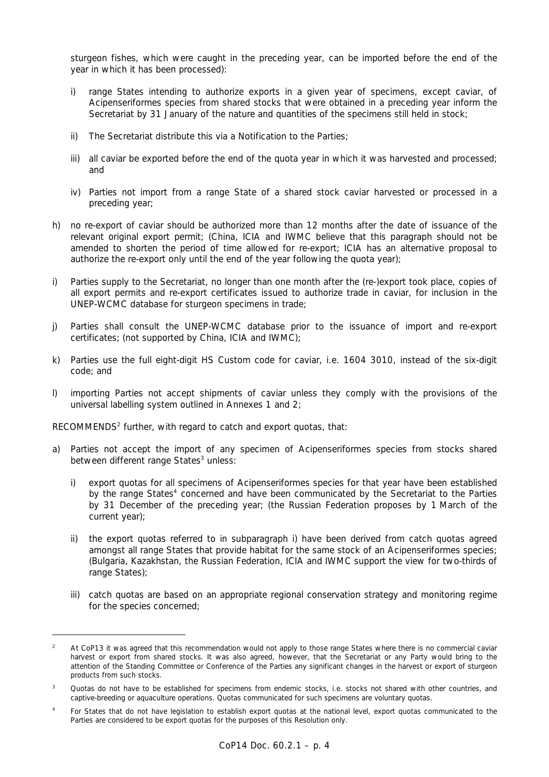sturgeon fishes, which were caught in the preceding year, can be imported before the end of the year in which it has been processed):

- i) range States intending to authorize exports in a given year of specimens, except caviar, of Acipenseriformes species from shared stocks that were obtained in a preceding year inform the Secretariat by 31 January of the nature and quantities of the specimens still held in stock;
- ii) The Secretariat distribute this via a Notification to the Parties;
- iii) all caviar be exported before the end of the quota year in which it was harvested and processed; and
- iv) Parties not import from a range State of a shared stock caviar harvested or processed in a preceding year;
- h) no re-export of caviar should be authorized more than 12 months after the date of issuance of the relevant original export permit; (China, ICIA and IWMC believe that this paragraph should not be amended to shorten the period of time allowed for re-export; ICIA has an alternative proposal to authorize the re-export only until the end of the year following the quota year);
- i) Parties supply to the Secretariat, no longer than one month after the (re-)export took place, copies of all export permits and re-export certificates issued to authorize trade in caviar, for inclusion in the UNEP-WCMC database for sturgeon specimens in trade;
- j) Parties shall consult the UNEP-WCMC database prior to the issuance of import and re-export certificates; (not supported by China, ICIA and IWMC);
- k) Parties use the full eight-digit HS Custom code for caviar, i.e. 1604 3010, instead of the six-digit code; and
- l) importing Parties not accept shipments of caviar unless they comply with the provisions of the universal labelling system outlined in Annexes 1 and 2;

RECOMMENDS $2$  further, with regard to catch and export quotas, that:

 $\overline{a}$ 

- a) Parties not accept the import of any specimen of Acipenseriformes species from stocks shared between different range States<sup>3</sup> unless:
	- i) export quotas for all specimens of Acipenseriformes species for that year have been established by the range States<sup>4</sup> concerned and have been communicated by the Secretariat to the Parties by 31 December of the preceding year; (the Russian Federation proposes by 1 March of the current year);
	- ii) the export quotas referred to in subparagraph i) have been derived from catch quotas agreed amongst all range States that provide habitat for the same stock of an Acipenseriformes species; (Bulgaria, Kazakhstan, the Russian Federation, ICIA and IWMC support the view for two-thirds of range States);
	- iii) catch quotas are based on an appropriate regional conservation strategy and monitoring regime for the species concerned;

*<sup>2</sup> At CoP13 it was agreed that this recommendation would not apply to those range States where there is no commercial caviar harvest or export from shared stocks. It was also agreed, however, that the Secretariat or any Party would bring to the attention of the Standing Committee or Conference of the Parties any significant changes in the harvest or export of sturgeon products from such stocks.* 

*<sup>3</sup> Quotas do not have to be established for specimens from endemic stocks, i.e. stocks not shared with other countries, and captive-breeding or aquaculture operations. Quotas communicated for such specimens are voluntary quotas.* 

*<sup>4</sup> For States that do not have legislation to establish export quotas at the national level, export quotas communicated to the Parties are considered to be export quotas for the purposes of this Resolution only.*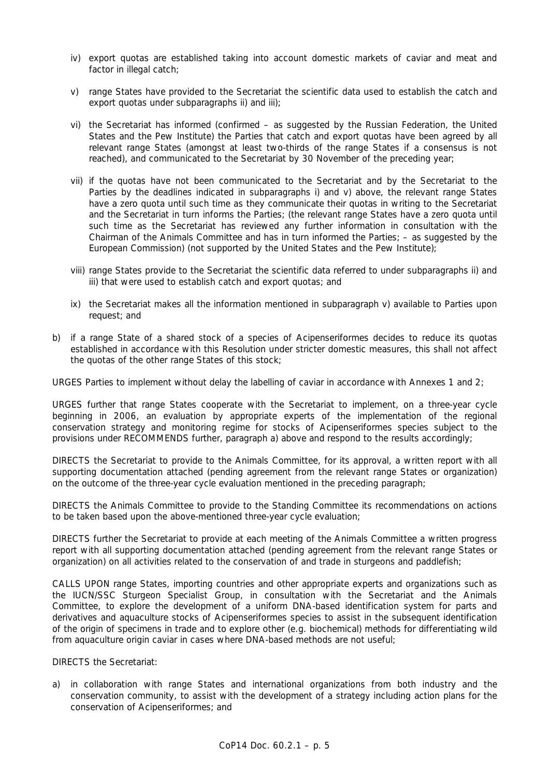- iv) export quotas are established taking into account domestic markets of caviar and meat and factor in illegal catch;
- v) range States have provided to the Secretariat the scientific data used to establish the catch and export quotas under subparagraphs ii) and iii);
- vi) the Secretariat has informed (confirmed as suggested by the Russian Federation, the United States and the Pew Institute) the Parties that catch and export quotas have been agreed by all relevant range States (amongst at least two-thirds of the range States if a consensus is not reached), and communicated to the Secretariat by 30 November of the preceding year;
- vii) if the quotas have not been communicated to the Secretariat and by the Secretariat to the Parties by the deadlines indicated in subparagraphs i) and v) above, the relevant range States have a zero quota until such time as they communicate their quotas in writing to the Secretariat and the Secretariat in turn informs the Parties; (the relevant range States have a zero quota until such time as the Secretariat has reviewed any further information in consultation with the Chairman of the Animals Committee and has in turn informed the Parties; – as suggested by the European Commission) (not supported by the United States and the Pew Institute);
- viii) range States provide to the Secretariat the scientific data referred to under subparagraphs ii) and iii) that were used to establish catch and export quotas; and
- ix) the Secretariat makes all the information mentioned in subparagraph v) available to Parties upon request; and
- b) if a range State of a shared stock of a species of Acipenseriformes decides to reduce its quotas established in accordance with this Resolution under stricter domestic measures, this shall not affect the quotas of the other range States of this stock;

URGES Parties to implement without delay the labelling of caviar in accordance with Annexes 1 and 2;

URGES further that range States cooperate with the Secretariat to implement, on a three-year cycle beginning in 2006, an evaluation by appropriate experts of the implementation of the regional conservation strategy and monitoring regime for stocks of Acipenseriformes species subject to the provisions under RECOMMENDS further, paragraph a) above and respond to the results accordingly;

DIRECTS the Secretariat to provide to the Animals Committee, for its approval, a written report with all supporting documentation attached (pending agreement from the relevant range States or organization) on the outcome of the three-year cycle evaluation mentioned in the preceding paragraph;

DIRECTS the Animals Committee to provide to the Standing Committee its recommendations on actions to be taken based upon the above-mentioned three-year cycle evaluation;

DIRECTS further the Secretariat to provide at each meeting of the Animals Committee a written progress report with all supporting documentation attached (pending agreement from the relevant range States or organization) on all activities related to the conservation of and trade in sturgeons and paddlefish;

CALLS UPON range States, importing countries and other appropriate experts and organizations such as the IUCN/SSC Sturgeon Specialist Group, in consultation with the Secretariat and the Animals Committee, to explore the development of a uniform DNA-based identification system for parts and derivatives and aquaculture stocks of Acipenseriformes species to assist in the subsequent identification of the origin of specimens in trade and to explore other (e.g. biochemical) methods for differentiating wild from aquaculture origin caviar in cases where DNA-based methods are not useful;

DIRECTS the Secretariat:

a) in collaboration with range States and international organizations from both industry and the conservation community, to assist with the development of a strategy including action plans for the conservation of Acipenseriformes; and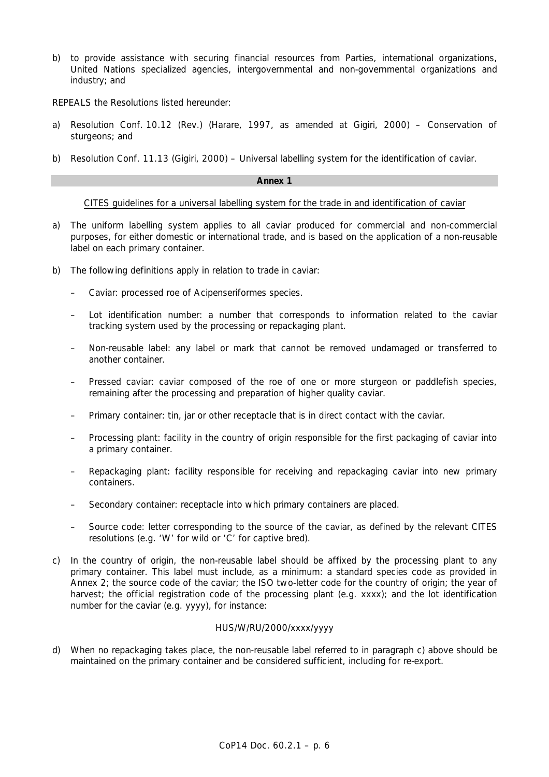b) to provide assistance with securing financial resources from Parties, international organizations, United Nations specialized agencies, intergovernmental and non-governmental organizations and industry; and

REPEALS the Resolutions listed hereunder:

- a) Resolution Conf. 10.12 (Rev.) (Harare, 1997, as amended at Gigiri, 2000) Conservation of sturgeons; and
- b) Resolution Conf. 11.13 (Gigiri, 2000) Universal labelling system for the identification of caviar.

### **Annex 1**

### CITES guidelines for a universal labelling system for the trade in and identification of caviar

- a) The uniform labelling system applies to all caviar produced for commercial and non-commercial purposes, for either domestic or international trade, and is based on the application of a non-reusable label on each primary container.
- b) The following definitions apply in relation to trade in caviar:
	- Caviar: processed roe of Acipenseriformes species.
	- Lot identification number: a number that corresponds to information related to the caviar tracking system used by the processing or repackaging plant.
	- Non-reusable label: any label or mark that cannot be removed undamaged or transferred to another container.
	- Pressed caviar: caviar composed of the roe of one or more sturgeon or paddlefish species, remaining after the processing and preparation of higher quality caviar.
	- Primary container: tin, jar or other receptacle that is in direct contact with the caviar.
	- Processing plant: facility in the country of origin responsible for the first packaging of caviar into a primary container.
	- Repackaging plant: facility responsible for receiving and repackaging caviar into new primary containers.
	- Secondary container: receptacle into which primary containers are placed.
	- Source code: letter corresponding to the source of the caviar, as defined by the relevant CITES resolutions (e.g. 'W' for wild or 'C' for captive bred).
- c) In the country of origin, the non-reusable label should be affixed by the processing plant to any primary container. This label must include, as a minimum: a standard species code as provided in Annex 2; the source code of the caviar; the ISO two-letter code for the country of origin; the year of harvest; the official registration code of the processing plant (e.g. xxxx); and the lot identification number for the caviar (e.g. yyyy), for instance:

## HUS/W/RU/2000/xxxx/yyyy

d) When no repackaging takes place, the non-reusable label referred to in paragraph c) above should be maintained on the primary container and be considered sufficient, including for re-export.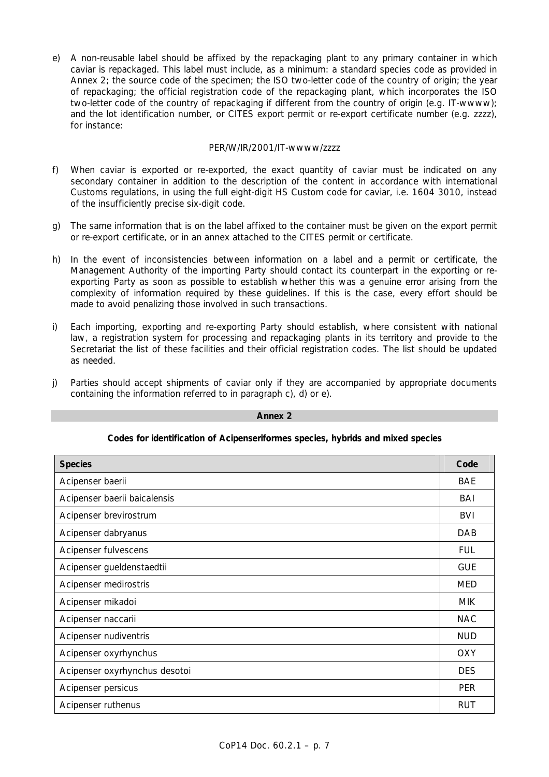e) A non-reusable label should be affixed by the repackaging plant to any primary container in which caviar is repackaged. This label must include, as a minimum: a standard species code as provided in Annex 2; the source code of the specimen; the ISO two-letter code of the country of origin; the year of repackaging; the official registration code of the repackaging plant, which incorporates the ISO two-letter code of the country of repackaging if different from the country of origin (e.g. IT-wwww); and the lot identification number, or CITES export permit or re-export certificate number (e.g. zzzz), for instance:

# PER/W/IR/2001/IT-wwww/zzzz

- f) When caviar is exported or re-exported, the exact quantity of caviar must be indicated on any secondary container in addition to the description of the content in accordance with international Customs regulations, in using the full eight-digit HS Custom code for caviar, i.e. 1604 3010, instead of the insufficiently precise six-digit code.
- g) The same information that is on the label affixed to the container must be given on the export permit or re-export certificate, or in an annex attached to the CITES permit or certificate.
- h) In the event of inconsistencies between information on a label and a permit or certificate, the Management Authority of the importing Party should contact its counterpart in the exporting or reexporting Party as soon as possible to establish whether this was a genuine error arising from the complexity of information required by these guidelines. If this is the case, every effort should be made to avoid penalizing those involved in such transactions.
- i) Each importing, exporting and re-exporting Party should establish, where consistent with national law, a registration system for processing and repackaging plants in its territory and provide to the Secretariat the list of these facilities and their official registration codes. The list should be updated as needed.
- j) Parties should accept shipments of caviar only if they are accompanied by appropriate documents containing the information referred to in paragraph c), d) or e).

| <b>Species</b>                | Code       |
|-------------------------------|------------|
| Acipenser baerii              | BAE        |
| Acipenser baerii baicalensis  | BAI        |
| Acipenser brevirostrum        | <b>BVI</b> |
| Acipenser dabryanus           | DAB        |
| Acipenser fulvescens          | <b>FUL</b> |
| Acipenser gueldenstaedtii     | <b>GUE</b> |
| Acipenser medirostris         | <b>MED</b> |
| Acipenser mikadoi             | <b>MIK</b> |
| Acipenser naccarii            | <b>NAC</b> |
| Acipenser nudiventris         | <b>NUD</b> |
| Acipenser oxyrhynchus         | <b>OXY</b> |
| Acipenser oxyrhynchus desotoi | <b>DES</b> |
| Acipenser persicus            | <b>PER</b> |
| Acipenser ruthenus            | RUT        |

#### **Annex 2**

# **Codes for identification of Acipenseriformes species, hybrids and mixed species**